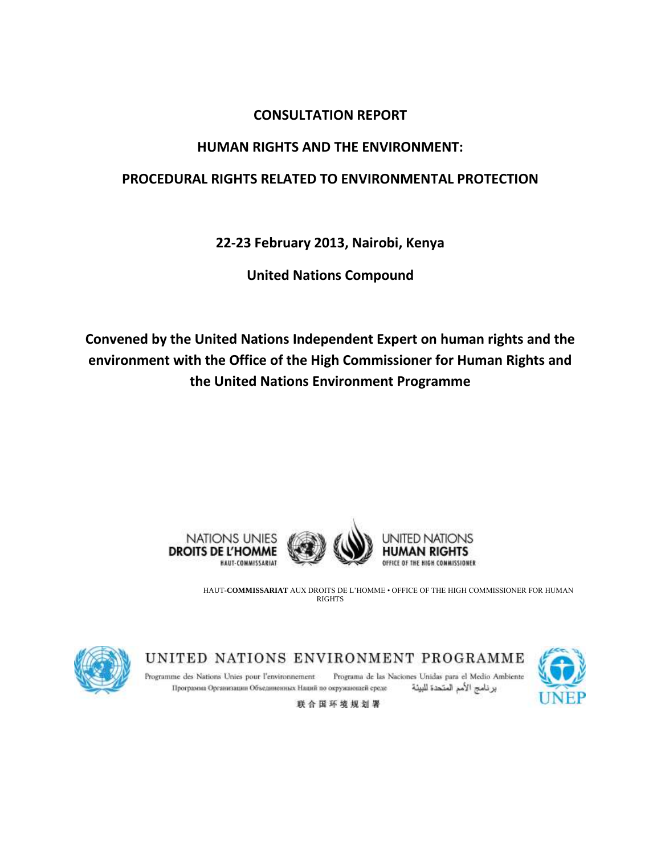## **CONSULTATION REPORT**

# **HUMAN RIGHTS AND THE ENVIRONMENT:**

# **PROCEDURAL RIGHTS RELATED TO ENVIRONMENTAL PROTECTION**

**22-23 February 2013, Nairobi, Kenya**

**United Nations Compound**

**Convened by the United Nations Independent Expert on human rights and the environment with the Office of the High Commissioner for Human Rights and the United Nations Environment Programme**





UNITED NATIONS **OFFICE OF THE HIGH COMMISSIONER** 

HAUT-**COMMISSARIAT** AUX DROITS DE L'HOMME • OFFICE OF THE HIGH COMMISSIONER FOR HUMAN **RIGHTS** 



UNITED NATIONS ENVIRONMENT PROGRAMME



Programme des Nations Unies pour l'environnement Programa de las Naciones Unidas para el Medio Ambiente Программа Организации Объединенных Наций по окружающей среде برنامج الأمم المتحدة للبيئة

联合国环境规划署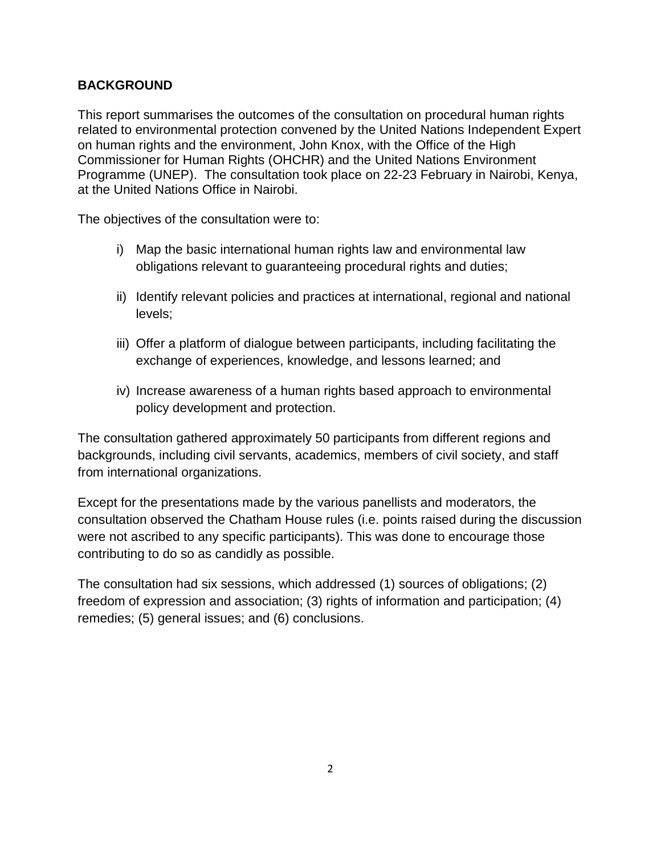## **BACKGROUND**

This report summarises the outcomes of the consultation on procedural human rights related to environmental protection convened by the United Nations Independent Expert on human rights and the environment, John Knox, with the Office of the High Commissioner for Human Rights (OHCHR) and the United Nations Environment Programme (UNEP). The consultation took place on 22-23 February in Nairobi, Kenya, at the United Nations Office in Nairobi.

The objectives of the consultation were to:

- i) Map the basic international human rights law and environmental law obligations relevant to guaranteeing procedural rights and duties;
- ii) Identify relevant policies and practices at international, regional and national levels;
- iii) Offer a platform of dialogue between participants, including facilitating the exchange of experiences, knowledge, and lessons learned; and
- iv) Increase awareness of a human rights based approach to environmental policy development and protection.

The consultation gathered approximately 50 participants from different regions and backgrounds, including civil servants, academics, members of civil society, and staff from international organizations.

Except for the presentations made by the various panellists and moderators, the consultation observed the Chatham House rules (i.e. points raised during the discussion were not ascribed to any specific participants). This was done to encourage those contributing to do so as candidly as possible.

The consultation had six sessions, which addressed (1) sources of obligations; (2) freedom of expression and association; (3) rights of information and participation; (4) remedies; (5) general issues; and (6) conclusions.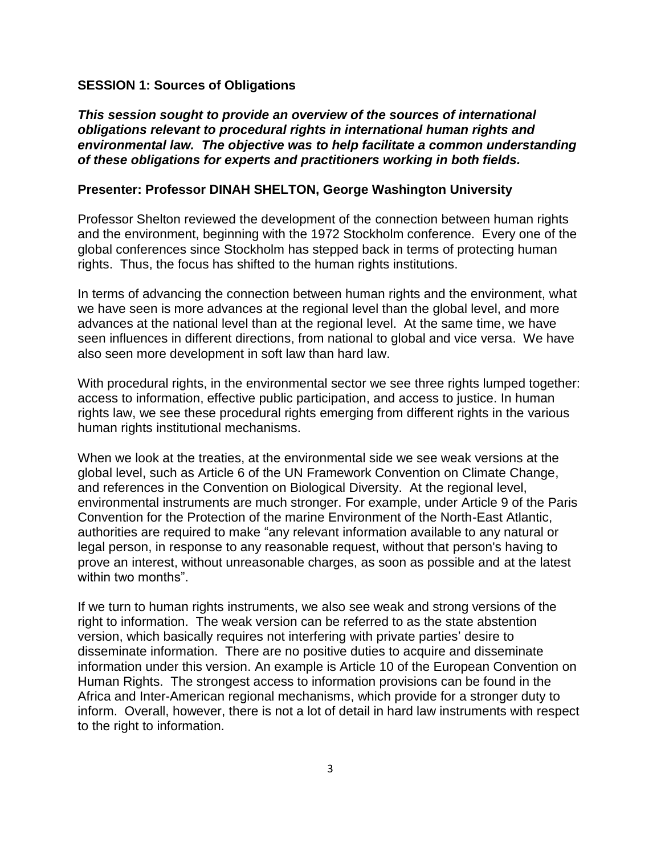#### **SESSION 1: Sources of Obligations**

*This session sought to provide an overview of the sources of international obligations relevant to procedural rights in international human rights and environmental law. The objective was to help facilitate a common understanding of these obligations for experts and practitioners working in both fields.*

### **Presenter: Professor DINAH SHELTON, George Washington University**

Professor Shelton reviewed the development of the connection between human rights and the environment, beginning with the 1972 Stockholm conference. Every one of the global conferences since Stockholm has stepped back in terms of protecting human rights. Thus, the focus has shifted to the human rights institutions.

In terms of advancing the connection between human rights and the environment, what we have seen is more advances at the regional level than the global level, and more advances at the national level than at the regional level. At the same time, we have seen influences in different directions, from national to global and vice versa. We have also seen more development in soft law than hard law.

With procedural rights, in the environmental sector we see three rights lumped together: access to information, effective public participation, and access to justice. In human rights law, we see these procedural rights emerging from different rights in the various human rights institutional mechanisms.

When we look at the treaties, at the environmental side we see weak versions at the global level, such as Article 6 of the UN Framework Convention on Climate Change, and references in the Convention on Biological Diversity. At the regional level, environmental instruments are much stronger. For example, under Article 9 of the Paris Convention for the Protection of the marine Environment of the North-East Atlantic, authorities are required to make "any relevant information available to any natural or legal person, in response to any reasonable request, without that person's having to prove an interest, without unreasonable charges, as soon as possible and at the latest within two months".

If we turn to human rights instruments, we also see weak and strong versions of the right to information. The weak version can be referred to as the state abstention version, which basically requires not interfering with private parties' desire to disseminate information. There are no positive duties to acquire and disseminate information under this version. An example is Article 10 of the European Convention on Human Rights. The strongest access to information provisions can be found in the Africa and Inter-American regional mechanisms, which provide for a stronger duty to inform. Overall, however, there is not a lot of detail in hard law instruments with respect to the right to information.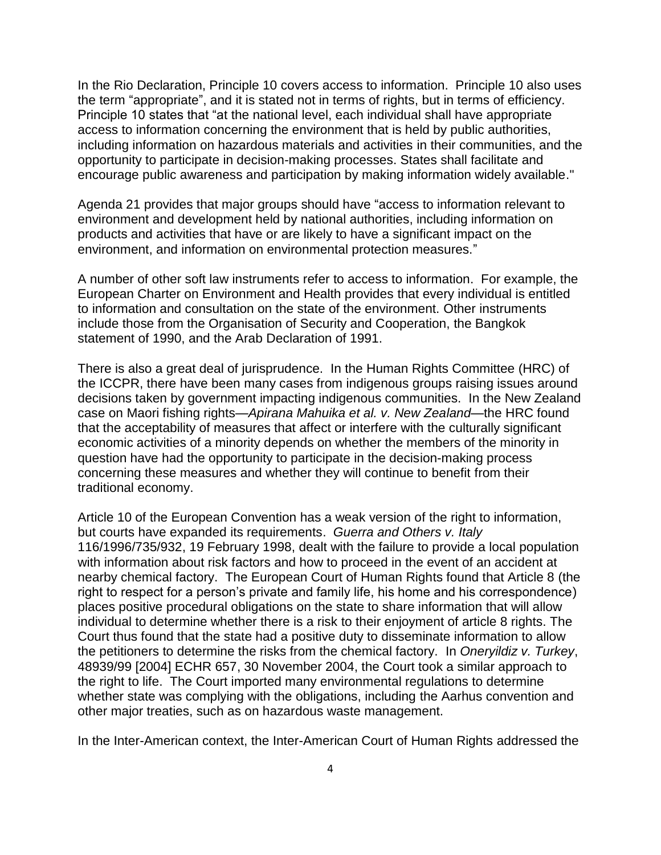In the Rio Declaration, Principle 10 covers access to information. Principle 10 also uses the term "appropriate", and it is stated not in terms of rights, but in terms of efficiency. Principle 10 states that "at the national level, each individual shall have appropriate access to information concerning the environment that is held by public authorities, including information on hazardous materials and activities in their communities, and the opportunity to participate in decision-making processes. States shall facilitate and encourage public awareness and participation by making information widely available."

Agenda 21 provides that major groups should have "access to information relevant to environment and development held by national authorities, including information on products and activities that have or are likely to have a significant impact on the environment, and information on environmental protection measures."

A number of other soft law instruments refer to access to information. For example, the European Charter on Environment and Health provides that every individual is entitled to information and consultation on the state of the environment. Other instruments include those from the Organisation of Security and Cooperation, the Bangkok statement of 1990, and the Arab Declaration of 1991.

There is also a great deal of jurisprudence. In the Human Rights Committee (HRC) of the ICCPR, there have been many cases from indigenous groups raising issues around decisions taken by government impacting indigenous communities. In the New Zealand case on Maori fishing rights—*Apirana Mahuika et al. v. New Zealand*—the HRC found that the acceptability of measures that affect or interfere with the culturally significant economic activities of a minority depends on whether the members of the minority in question have had the opportunity to participate in the decision-making process concerning these measures and whether they will continue to benefit from their traditional economy.

Article 10 of the European Convention has a weak version of the right to information, but courts have expanded its requirements. *Guerra and Others v. Italy* 116/1996/735/932, 19 February 1998, dealt with the failure to provide a local population with information about risk factors and how to proceed in the event of an accident at nearby chemical factory. The European Court of Human Rights found that Article 8 (the right to respect for a person's private and family life, his home and his correspondence) places positive procedural obligations on the state to share information that will allow individual to determine whether there is a risk to their enjoyment of article 8 rights. The Court thus found that the state had a positive duty to disseminate information to allow the petitioners to determine the risks from the chemical factory. In *Oneryildiz v. Turkey*, 48939/99 [2004] ECHR 657, 30 November 2004, the Court took a similar approach to the right to life. The Court imported many environmental regulations to determine whether state was complying with the obligations, including the Aarhus convention and other major treaties, such as on hazardous waste management.

In the Inter-American context, the Inter-American Court of Human Rights addressed the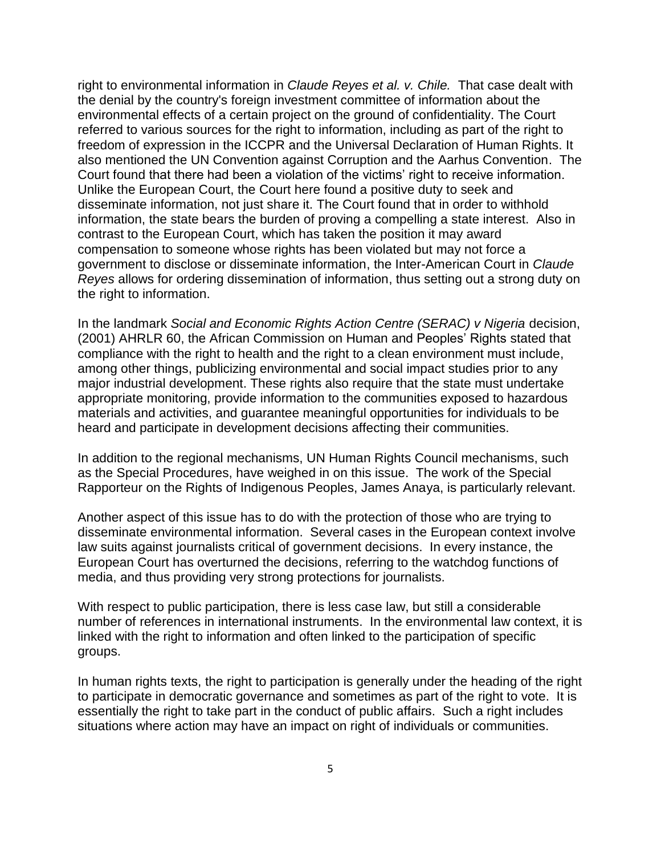right to environmental information in *Claude Reyes et al. v. Chile.* That case dealt with the denial by the country's foreign investment committee of information about the environmental effects of a certain project on the ground of confidentiality. The Court referred to various sources for the right to information, including as part of the right to freedom of expression in the ICCPR and the Universal Declaration of Human Rights. It also mentioned the UN Convention against Corruption and the Aarhus Convention. The Court found that there had been a violation of the victims' right to receive information. Unlike the European Court, the Court here found a positive duty to seek and disseminate information, not just share it. The Court found that in order to withhold information, the state bears the burden of proving a compelling a state interest. Also in contrast to the European Court, which has taken the position it may award compensation to someone whose rights has been violated but may not force a government to disclose or disseminate information, the Inter-American Court in *Claude Reyes* allows for ordering dissemination of information, thus setting out a strong duty on the right to information.

In the landmark *Social and Economic Rights Action Centre (SERAC) v Nigeria* decision, (2001) AHRLR 60, the African Commission on Human and Peoples' Rights stated that compliance with the right to health and the right to a clean environment must include, among other things, publicizing environmental and social impact studies prior to any major industrial development. These rights also require that the state must undertake appropriate monitoring, provide information to the communities exposed to hazardous materials and activities, and guarantee meaningful opportunities for individuals to be heard and participate in development decisions affecting their communities.

In addition to the regional mechanisms, UN Human Rights Council mechanisms, such as the Special Procedures, have weighed in on this issue. The work of the Special Rapporteur on the Rights of Indigenous Peoples, James Anaya, is particularly relevant.

Another aspect of this issue has to do with the protection of those who are trying to disseminate environmental information. Several cases in the European context involve law suits against journalists critical of government decisions. In every instance, the European Court has overturned the decisions, referring to the watchdog functions of media, and thus providing very strong protections for journalists.

With respect to public participation, there is less case law, but still a considerable number of references in international instruments. In the environmental law context, it is linked with the right to information and often linked to the participation of specific groups.

In human rights texts, the right to participation is generally under the heading of the right to participate in democratic governance and sometimes as part of the right to vote. It is essentially the right to take part in the conduct of public affairs. Such a right includes situations where action may have an impact on right of individuals or communities.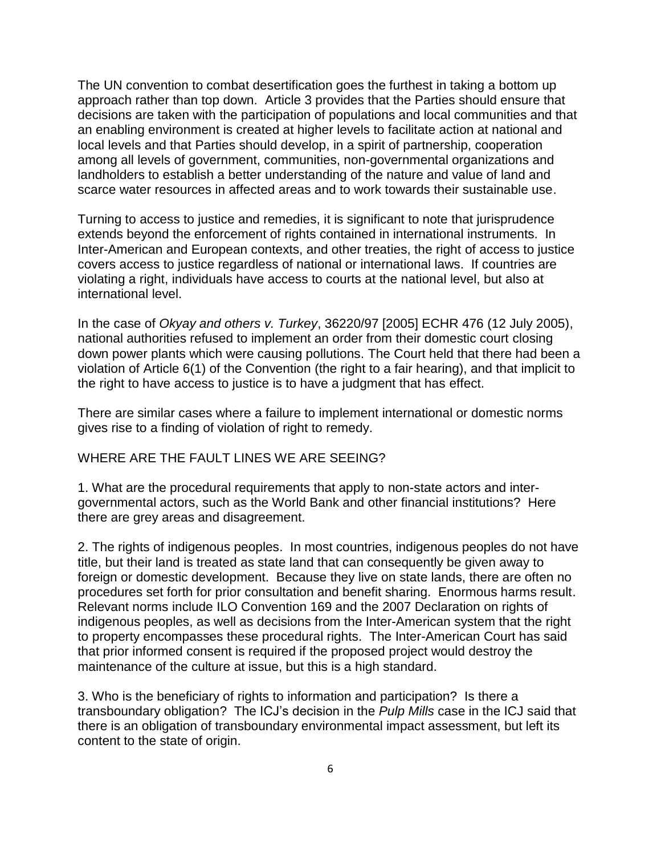The UN convention to combat desertification goes the furthest in taking a bottom up approach rather than top down. Article 3 provides that the Parties should ensure that decisions are taken with the participation of populations and local communities and that an enabling environment is created at higher levels to facilitate action at national and local levels and that Parties should develop, in a spirit of partnership, cooperation among all levels of government, communities, non-governmental organizations and landholders to establish a better understanding of the nature and value of land and scarce water resources in affected areas and to work towards their sustainable use.

Turning to access to justice and remedies, it is significant to note that jurisprudence extends beyond the enforcement of rights contained in international instruments. In Inter-American and European contexts, and other treaties, the right of access to justice covers access to justice regardless of national or international laws. If countries are violating a right, individuals have access to courts at the national level, but also at international level.

In the case of *Okyay and others v. Turkey*, 36220/97 [2005] ECHR 476 (12 July 2005), national authorities refused to implement an order from their domestic court closing down power plants which were causing pollutions. The Court held that there had been a violation of Article 6(1) of the Convention (the right to a fair hearing), and that implicit to the right to have access to justice is to have a judgment that has effect.

There are similar cases where a failure to implement international or domestic norms gives rise to a finding of violation of right to remedy.

### WHERE ARE THE FAULT LINES WE ARE SEEING?

1. What are the procedural requirements that apply to non-state actors and intergovernmental actors, such as the World Bank and other financial institutions? Here there are grey areas and disagreement.

2. The rights of indigenous peoples. In most countries, indigenous peoples do not have title, but their land is treated as state land that can consequently be given away to foreign or domestic development. Because they live on state lands, there are often no procedures set forth for prior consultation and benefit sharing. Enormous harms result. Relevant norms include ILO Convention 169 and the 2007 Declaration on rights of indigenous peoples, as well as decisions from the Inter-American system that the right to property encompasses these procedural rights. The Inter-American Court has said that prior informed consent is required if the proposed project would destroy the maintenance of the culture at issue, but this is a high standard.

3. Who is the beneficiary of rights to information and participation? Is there a transboundary obligation? The ICJ's decision in the *Pulp Mills* case in the ICJ said that there is an obligation of transboundary environmental impact assessment, but left its content to the state of origin.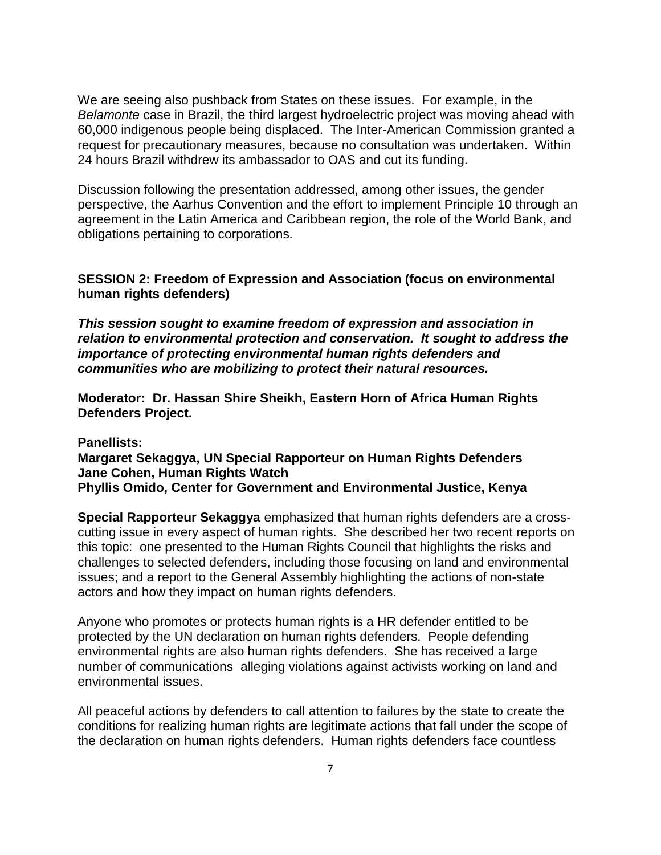We are seeing also pushback from States on these issues. For example, in the *Belamonte* case in Brazil, the third largest hydroelectric project was moving ahead with 60,000 indigenous people being displaced. The Inter-American Commission granted a request for precautionary measures, because no consultation was undertaken. Within 24 hours Brazil withdrew its ambassador to OAS and cut its funding.

Discussion following the presentation addressed, among other issues, the gender perspective, the Aarhus Convention and the effort to implement Principle 10 through an agreement in the Latin America and Caribbean region, the role of the World Bank, and obligations pertaining to corporations.

### **SESSION 2: Freedom of Expression and Association (focus on environmental human rights defenders)**

*This session sought to examine freedom of expression and association in relation to environmental protection and conservation. It sought to address the importance of protecting environmental human rights defenders and communities who are mobilizing to protect their natural resources.* 

**Moderator: Dr. Hassan Shire Sheikh, Eastern Horn of Africa Human Rights Defenders Project.**

### **Panellists:**

### **Margaret Sekaggya, UN Special Rapporteur on Human Rights Defenders Jane Cohen, Human Rights Watch Phyllis Omido, Center for Government and Environmental Justice, Kenya**

**Special Rapporteur Sekaggya** emphasized that human rights defenders are a crosscutting issue in every aspect of human rights. She described her two recent reports on this topic: one presented to the Human Rights Council that highlights the risks and challenges to selected defenders, including those focusing on land and environmental issues; and a report to the General Assembly highlighting the actions of non-state actors and how they impact on human rights defenders.

Anyone who promotes or protects human rights is a HR defender entitled to be protected by the UN declaration on human rights defenders. People defending environmental rights are also human rights defenders. She has received a large number of communications alleging violations against activists working on land and environmental issues.

All peaceful actions by defenders to call attention to failures by the state to create the conditions for realizing human rights are legitimate actions that fall under the scope of the declaration on human rights defenders. Human rights defenders face countless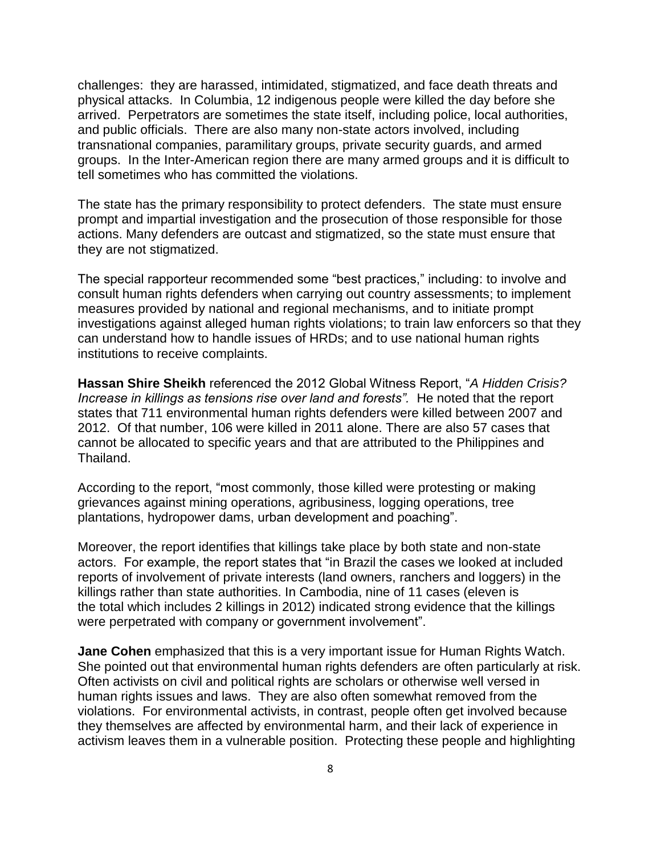challenges: they are harassed, intimidated, stigmatized, and face death threats and physical attacks. In Columbia, 12 indigenous people were killed the day before she arrived. Perpetrators are sometimes the state itself, including police, local authorities, and public officials. There are also many non-state actors involved, including transnational companies, paramilitary groups, private security guards, and armed groups. In the Inter-American region there are many armed groups and it is difficult to tell sometimes who has committed the violations.

The state has the primary responsibility to protect defenders. The state must ensure prompt and impartial investigation and the prosecution of those responsible for those actions. Many defenders are outcast and stigmatized, so the state must ensure that they are not stigmatized.

The special rapporteur recommended some "best practices," including: to involve and consult human rights defenders when carrying out country assessments; to implement measures provided by national and regional mechanisms, and to initiate prompt investigations against alleged human rights violations; to train law enforcers so that they can understand how to handle issues of HRDs; and to use national human rights institutions to receive complaints.

**Hassan Shire Sheikh** referenced the 2012 Global Witness Report, "*A Hidden Crisis? Increase in killings as tensions rise over land and forests".* He noted that the report states that 711 environmental human rights defenders were killed between 2007 and 2012. Of that number, 106 were killed in 2011 alone. There are also 57 cases that cannot be allocated to specific years and that are attributed to the Philippines and Thailand.

According to the report, "most commonly, those killed were protesting or making grievances against mining operations, agribusiness, logging operations, tree plantations, hydropower dams, urban development and poaching".

Moreover, the report identifies that killings take place by both state and non-state actors. For example, the report states that "in Brazil the cases we looked at included reports of involvement of private interests (land owners, ranchers and loggers) in the killings rather than state authorities. In Cambodia, nine of 11 cases (eleven is the total which includes 2 killings in 2012) indicated strong evidence that the killings were perpetrated with company or government involvement".

**Jane Cohen** emphasized that this is a very important issue for Human Rights Watch. She pointed out that environmental human rights defenders are often particularly at risk. Often activists on civil and political rights are scholars or otherwise well versed in human rights issues and laws. They are also often somewhat removed from the violations. For environmental activists, in contrast, people often get involved because they themselves are affected by environmental harm, and their lack of experience in activism leaves them in a vulnerable position. Protecting these people and highlighting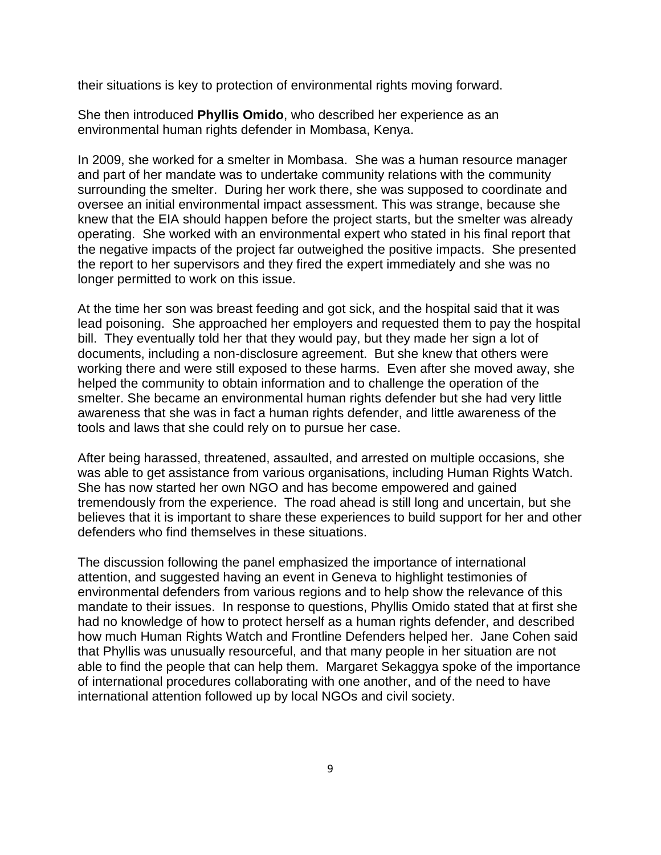their situations is key to protection of environmental rights moving forward.

She then introduced **Phyllis Omido**, who described her experience as an environmental human rights defender in Mombasa, Kenya.

In 2009, she worked for a smelter in Mombasa. She was a human resource manager and part of her mandate was to undertake community relations with the community surrounding the smelter. During her work there, she was supposed to coordinate and oversee an initial environmental impact assessment. This was strange, because she knew that the EIA should happen before the project starts, but the smelter was already operating. She worked with an environmental expert who stated in his final report that the negative impacts of the project far outweighed the positive impacts. She presented the report to her supervisors and they fired the expert immediately and she was no longer permitted to work on this issue.

At the time her son was breast feeding and got sick, and the hospital said that it was lead poisoning. She approached her employers and requested them to pay the hospital bill. They eventually told her that they would pay, but they made her sign a lot of documents, including a non-disclosure agreement. But she knew that others were working there and were still exposed to these harms. Even after she moved away, she helped the community to obtain information and to challenge the operation of the smelter. She became an environmental human rights defender but she had very little awareness that she was in fact a human rights defender, and little awareness of the tools and laws that she could rely on to pursue her case.

After being harassed, threatened, assaulted, and arrested on multiple occasions, she was able to get assistance from various organisations, including Human Rights Watch. She has now started her own NGO and has become empowered and gained tremendously from the experience. The road ahead is still long and uncertain, but she believes that it is important to share these experiences to build support for her and other defenders who find themselves in these situations.

The discussion following the panel emphasized the importance of international attention, and suggested having an event in Geneva to highlight testimonies of environmental defenders from various regions and to help show the relevance of this mandate to their issues. In response to questions, Phyllis Omido stated that at first she had no knowledge of how to protect herself as a human rights defender, and described how much Human Rights Watch and Frontline Defenders helped her. Jane Cohen said that Phyllis was unusually resourceful, and that many people in her situation are not able to find the people that can help them. Margaret Sekaggya spoke of the importance of international procedures collaborating with one another, and of the need to have international attention followed up by local NGOs and civil society.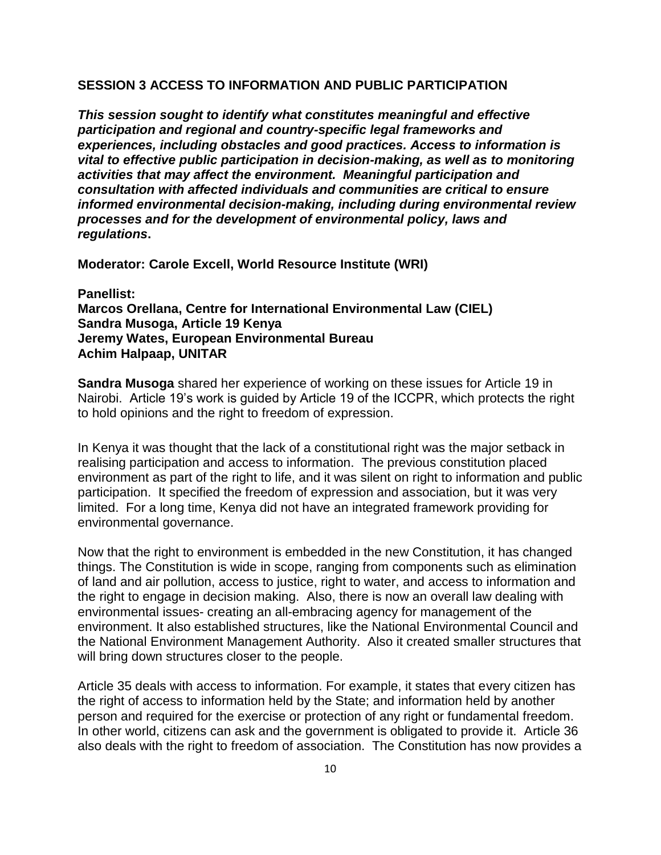#### **SESSION 3 ACCESS TO INFORMATION AND PUBLIC PARTICIPATION**

*This session sought to identify what constitutes meaningful and effective participation and regional and country-specific legal frameworks and experiences, including obstacles and good practices. Access to information is vital to effective public participation in decision-making, as well as to monitoring activities that may affect the environment. Meaningful participation and consultation with affected individuals and communities are critical to ensure informed environmental decision-making, including during environmental review processes and for the development of environmental policy, laws and regulations***.** 

**Moderator: Carole Excell, World Resource Institute (WRI)**

**Panellist: Marcos Orellana, Centre for International Environmental Law (CIEL) Sandra Musoga, Article 19 Kenya Jeremy Wates, European Environmental Bureau Achim Halpaap, UNITAR**

**Sandra Musoga** shared her experience of working on these issues for Article 19 in Nairobi. Article 19's work is guided by Article 19 of the ICCPR, which protects the right to hold opinions and the right to freedom of expression.

In Kenya it was thought that the lack of a constitutional right was the major setback in realising participation and access to information. The previous constitution placed environment as part of the right to life, and it was silent on right to information and public participation. It specified the freedom of expression and association, but it was very limited. For a long time, Kenya did not have an integrated framework providing for environmental governance.

Now that the right to environment is embedded in the new Constitution, it has changed things. The Constitution is wide in scope, ranging from components such as elimination of land and air pollution, access to justice, right to water, and access to information and the right to engage in decision making. Also, there is now an overall law dealing with environmental issues- creating an all-embracing agency for management of the environment. It also established structures, like the National Environmental Council and the National Environment Management Authority. Also it created smaller structures that will bring down structures closer to the people.

Article 35 deals with access to information. For example, it states that every citizen has the right of access to information held by the State; and information held by another person and required for the exercise or protection of any right or fundamental freedom. In other world, citizens can ask and the government is obligated to provide it. Article 36 also deals with the right to freedom of association. The Constitution has now provides a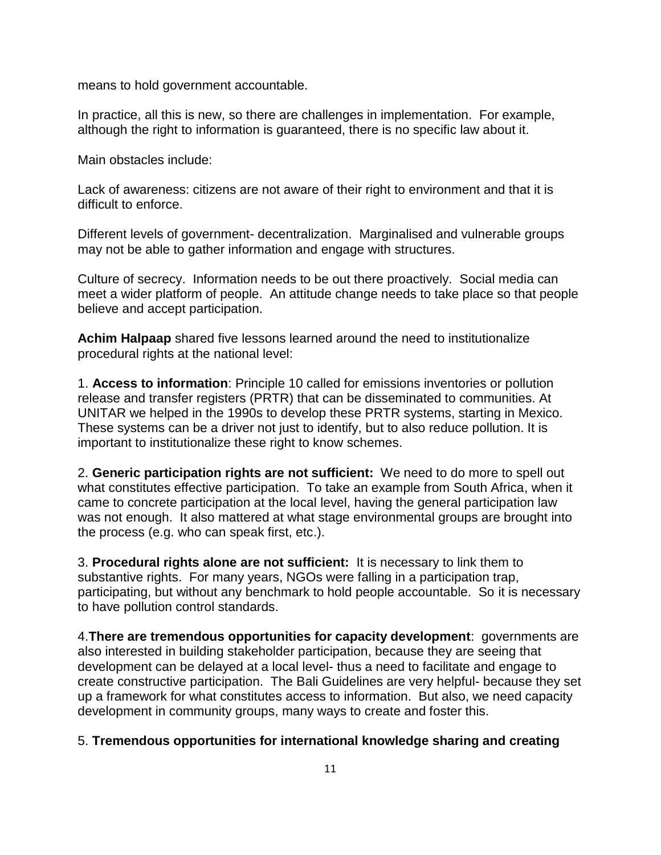means to hold government accountable.

In practice, all this is new, so there are challenges in implementation. For example, although the right to information is guaranteed, there is no specific law about it.

Main obstacles include:

Lack of awareness: citizens are not aware of their right to environment and that it is difficult to enforce.

Different levels of government- decentralization. Marginalised and vulnerable groups may not be able to gather information and engage with structures.

Culture of secrecy. Information needs to be out there proactively. Social media can meet a wider platform of people. An attitude change needs to take place so that people believe and accept participation.

**Achim Halpaap** shared five lessons learned around the need to institutionalize procedural rights at the national level:

1. **Access to information**: Principle 10 called for emissions inventories or pollution release and transfer registers (PRTR) that can be disseminated to communities. At UNITAR we helped in the 1990s to develop these PRTR systems, starting in Mexico. These systems can be a driver not just to identify, but to also reduce pollution. It is important to institutionalize these right to know schemes.

2. **Generic participation rights are not sufficient:** We need to do more to spell out what constitutes effective participation. To take an example from South Africa, when it came to concrete participation at the local level, having the general participation law was not enough. It also mattered at what stage environmental groups are brought into the process (e.g. who can speak first, etc.).

3. **Procedural rights alone are not sufficient:** It is necessary to link them to substantive rights. For many years, NGOs were falling in a participation trap, participating, but without any benchmark to hold people accountable. So it is necessary to have pollution control standards.

4.**There are tremendous opportunities for capacity development**: governments are also interested in building stakeholder participation, because they are seeing that development can be delayed at a local level- thus a need to facilitate and engage to create constructive participation. The Bali Guidelines are very helpful- because they set up a framework for what constitutes access to information. But also, we need capacity development in community groups, many ways to create and foster this.

### 5. **Tremendous opportunities for international knowledge sharing and creating**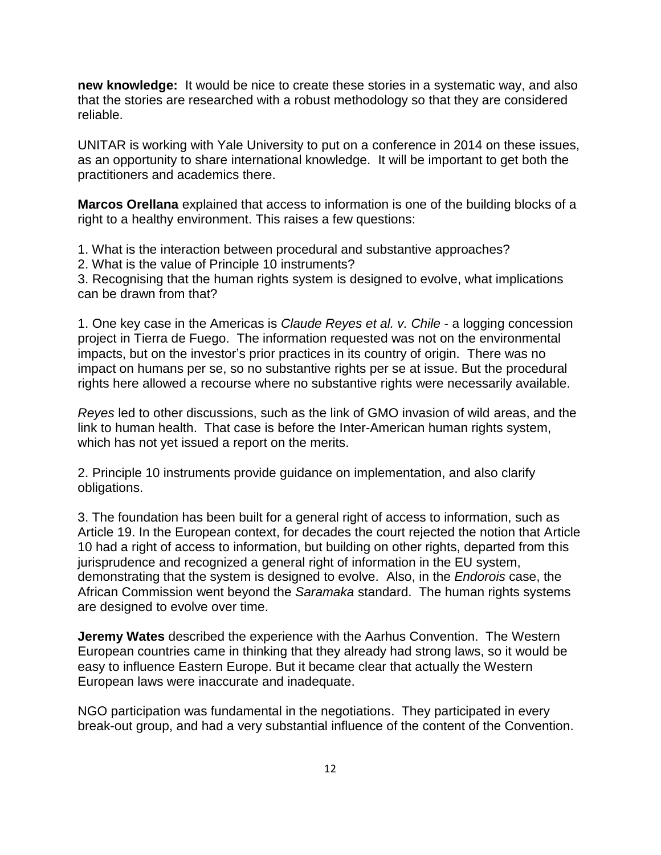**new knowledge:** It would be nice to create these stories in a systematic way, and also that the stories are researched with a robust methodology so that they are considered reliable.

UNITAR is working with Yale University to put on a conference in 2014 on these issues, as an opportunity to share international knowledge. It will be important to get both the practitioners and academics there.

**Marcos Orellana** explained that access to information is one of the building blocks of a right to a healthy environment. This raises a few questions:

1. What is the interaction between procedural and substantive approaches?

2. What is the value of Principle 10 instruments?

3. Recognising that the human rights system is designed to evolve, what implications can be drawn from that?

1. One key case in the Americas is *Claude Reyes et al. v. Chile* - a logging concession project in Tierra de Fuego. The information requested was not on the environmental impacts, but on the investor's prior practices in its country of origin. There was no impact on humans per se, so no substantive rights per se at issue. But the procedural rights here allowed a recourse where no substantive rights were necessarily available.

*Reyes* led to other discussions, such as the link of GMO invasion of wild areas, and the link to human health. That case is before the Inter-American human rights system, which has not yet issued a report on the merits.

2. Principle 10 instruments provide guidance on implementation, and also clarify obligations.

3. The foundation has been built for a general right of access to information, such as Article 19. In the European context, for decades the court rejected the notion that Article 10 had a right of access to information, but building on other rights, departed from this jurisprudence and recognized a general right of information in the EU system, demonstrating that the system is designed to evolve. Also, in the *Endorois* case, the African Commission went beyond the *Saramaka* standard. The human rights systems are designed to evolve over time.

**Jeremy Wates** described the experience with the Aarhus Convention. The Western European countries came in thinking that they already had strong laws, so it would be easy to influence Eastern Europe. But it became clear that actually the Western European laws were inaccurate and inadequate.

NGO participation was fundamental in the negotiations. They participated in every break-out group, and had a very substantial influence of the content of the Convention.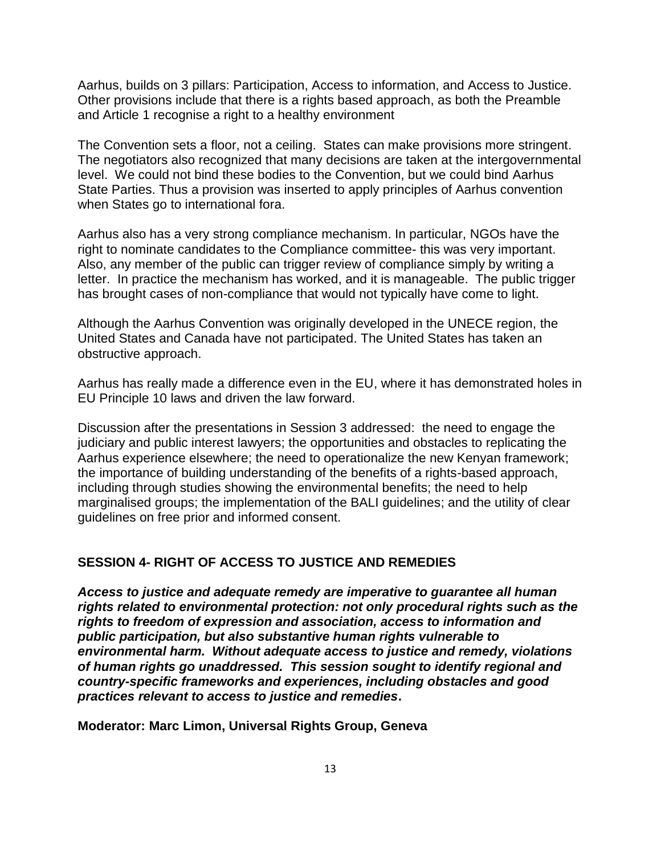Aarhus, builds on 3 pillars: Participation, Access to information, and Access to Justice. Other provisions include that there is a rights based approach, as both the Preamble and Article 1 recognise a right to a healthy environment

The Convention sets a floor, not a ceiling. States can make provisions more stringent. The negotiators also recognized that many decisions are taken at the intergovernmental level. We could not bind these bodies to the Convention, but we could bind Aarhus State Parties. Thus a provision was inserted to apply principles of Aarhus convention when States go to international fora.

Aarhus also has a very strong compliance mechanism. In particular, NGOs have the right to nominate candidates to the Compliance committee- this was very important. Also, any member of the public can trigger review of compliance simply by writing a letter. In practice the mechanism has worked, and it is manageable. The public trigger has brought cases of non-compliance that would not typically have come to light.

Although the Aarhus Convention was originally developed in the UNECE region, the United States and Canada have not participated. The United States has taken an obstructive approach.

Aarhus has really made a difference even in the EU, where it has demonstrated holes in EU Principle 10 laws and driven the law forward.

Discussion after the presentations in Session 3 addressed: the need to engage the judiciary and public interest lawyers; the opportunities and obstacles to replicating the Aarhus experience elsewhere; the need to operationalize the new Kenyan framework; the importance of building understanding of the benefits of a rights-based approach, including through studies showing the environmental benefits; the need to help marginalised groups; the implementation of the BALI guidelines; and the utility of clear guidelines on free prior and informed consent.

#### **SESSION 4- RIGHT OF ACCESS TO JUSTICE AND REMEDIES**

*Access to justice and adequate remedy are imperative to guarantee all human rights related to environmental protection: not only procedural rights such as the rights to freedom of expression and association, access to information and public participation, but also substantive human rights vulnerable to environmental harm. Without adequate access to justice and remedy, violations of human rights go unaddressed. This session sought to identify regional and country-specific frameworks and experiences, including obstacles and good practices relevant to access to justice and remedies***.**

**Moderator: Marc Limon, Universal Rights Group, Geneva**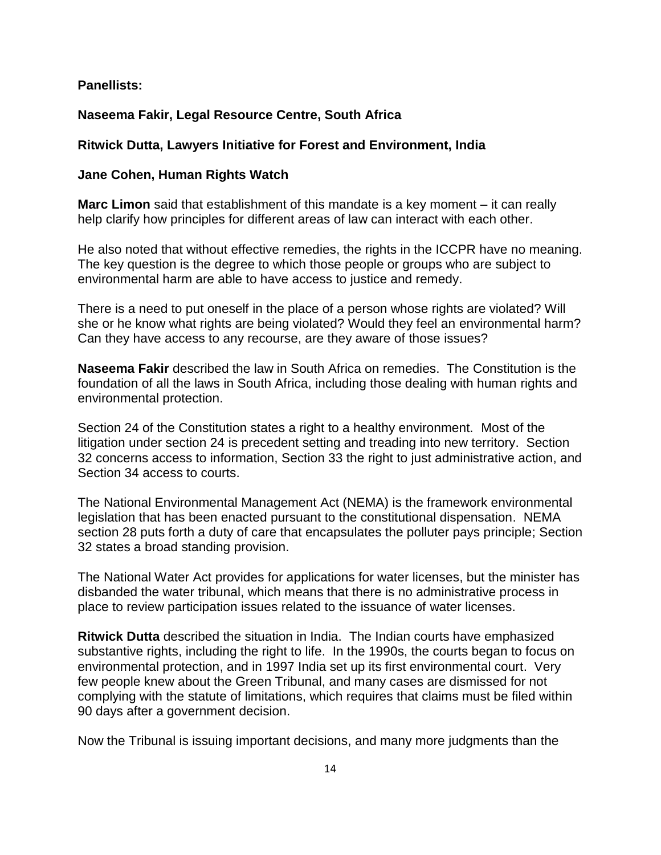### **Panellists:**

### **Naseema Fakir, Legal Resource Centre, South Africa**

#### **Ritwick Dutta, Lawyers Initiative for Forest and Environment, India**

#### **Jane Cohen, Human Rights Watch**

**Marc Limon** said that establishment of this mandate is a key moment – it can really help clarify how principles for different areas of law can interact with each other.

He also noted that without effective remedies, the rights in the ICCPR have no meaning. The key question is the degree to which those people or groups who are subject to environmental harm are able to have access to justice and remedy.

There is a need to put oneself in the place of a person whose rights are violated? Will she or he know what rights are being violated? Would they feel an environmental harm? Can they have access to any recourse, are they aware of those issues?

**Naseema Fakir** described the law in South Africa on remedies. The Constitution is the foundation of all the laws in South Africa, including those dealing with human rights and environmental protection.

Section 24 of the Constitution states a right to a healthy environment. Most of the litigation under section 24 is precedent setting and treading into new territory. Section 32 concerns access to information, Section 33 the right to just administrative action, and Section 34 access to courts.

The National Environmental Management Act (NEMA) is the framework environmental legislation that has been enacted pursuant to the constitutional dispensation. NEMA section 28 puts forth a duty of care that encapsulates the polluter pays principle; Section 32 states a broad standing provision.

The National Water Act provides for applications for water licenses, but the minister has disbanded the water tribunal, which means that there is no administrative process in place to review participation issues related to the issuance of water licenses.

**Ritwick Dutta** described the situation in India. The Indian courts have emphasized substantive rights, including the right to life. In the 1990s, the courts began to focus on environmental protection, and in 1997 India set up its first environmental court. Very few people knew about the Green Tribunal, and many cases are dismissed for not complying with the statute of limitations, which requires that claims must be filed within 90 days after a government decision.

Now the Tribunal is issuing important decisions, and many more judgments than the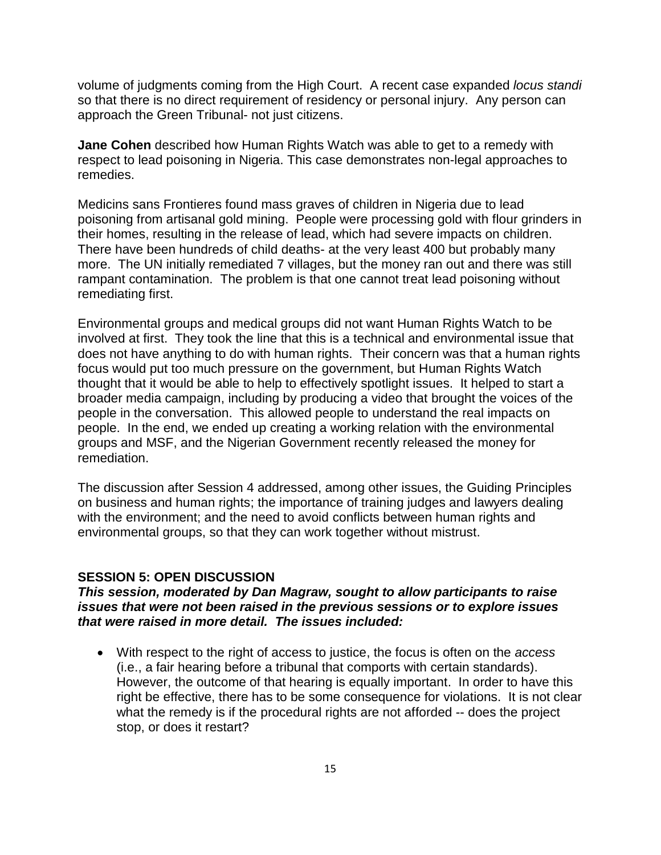volume of judgments coming from the High Court. A recent case expanded *locus standi* so that there is no direct requirement of residency or personal injury. Any person can approach the Green Tribunal- not just citizens.

**Jane Cohen** described how Human Rights Watch was able to get to a remedy with respect to lead poisoning in Nigeria. This case demonstrates non-legal approaches to remedies.

Medicins sans Frontieres found mass graves of children in Nigeria due to lead poisoning from artisanal gold mining. People were processing gold with flour grinders in their homes, resulting in the release of lead, which had severe impacts on children. There have been hundreds of child deaths- at the very least 400 but probably many more. The UN initially remediated 7 villages, but the money ran out and there was still rampant contamination. The problem is that one cannot treat lead poisoning without remediating first.

Environmental groups and medical groups did not want Human Rights Watch to be involved at first. They took the line that this is a technical and environmental issue that does not have anything to do with human rights. Their concern was that a human rights focus would put too much pressure on the government, but Human Rights Watch thought that it would be able to help to effectively spotlight issues. It helped to start a broader media campaign, including by producing a video that brought the voices of the people in the conversation. This allowed people to understand the real impacts on people. In the end, we ended up creating a working relation with the environmental groups and MSF, and the Nigerian Government recently released the money for remediation.

The discussion after Session 4 addressed, among other issues, the Guiding Principles on business and human rights; the importance of training judges and lawyers dealing with the environment; and the need to avoid conflicts between human rights and environmental groups, so that they can work together without mistrust.

#### **SESSION 5: OPEN DISCUSSION**

### *This session, moderated by Dan Magraw, sought to allow participants to raise issues that were not been raised in the previous sessions or to explore issues that were raised in more detail. The issues included:*

 With respect to the right of access to justice, the focus is often on the *access*  (i.e., a fair hearing before a tribunal that comports with certain standards). However, the outcome of that hearing is equally important. In order to have this right be effective, there has to be some consequence for violations. It is not clear what the remedy is if the procedural rights are not afforded -- does the project stop, or does it restart?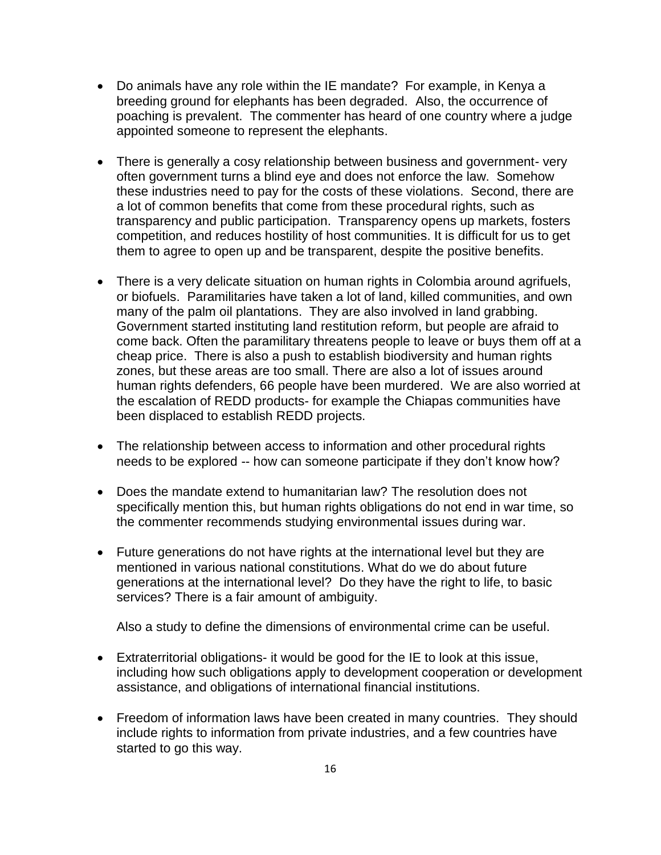- Do animals have any role within the IE mandate? For example, in Kenya a breeding ground for elephants has been degraded. Also, the occurrence of poaching is prevalent. The commenter has heard of one country where a judge appointed someone to represent the elephants.
- There is generally a cosy relationship between business and government- very often government turns a blind eye and does not enforce the law. Somehow these industries need to pay for the costs of these violations. Second, there are a lot of common benefits that come from these procedural rights, such as transparency and public participation. Transparency opens up markets, fosters competition, and reduces hostility of host communities. It is difficult for us to get them to agree to open up and be transparent, despite the positive benefits.
- There is a very delicate situation on human rights in Colombia around agrifuels, or biofuels. Paramilitaries have taken a lot of land, killed communities, and own many of the palm oil plantations. They are also involved in land grabbing. Government started instituting land restitution reform, but people are afraid to come back. Often the paramilitary threatens people to leave or buys them off at a cheap price. There is also a push to establish biodiversity and human rights zones, but these areas are too small. There are also a lot of issues around human rights defenders, 66 people have been murdered. We are also worried at the escalation of REDD products- for example the Chiapas communities have been displaced to establish REDD projects.
- The relationship between access to information and other procedural rights needs to be explored -- how can someone participate if they don't know how?
- Does the mandate extend to humanitarian law? The resolution does not specifically mention this, but human rights obligations do not end in war time, so the commenter recommends studying environmental issues during war.
- Future generations do not have rights at the international level but they are mentioned in various national constitutions. What do we do about future generations at the international level? Do they have the right to life, to basic services? There is a fair amount of ambiguity.

Also a study to define the dimensions of environmental crime can be useful.

- Extraterritorial obligations- it would be good for the IE to look at this issue, including how such obligations apply to development cooperation or development assistance, and obligations of international financial institutions.
- Freedom of information laws have been created in many countries. They should include rights to information from private industries, and a few countries have started to go this way.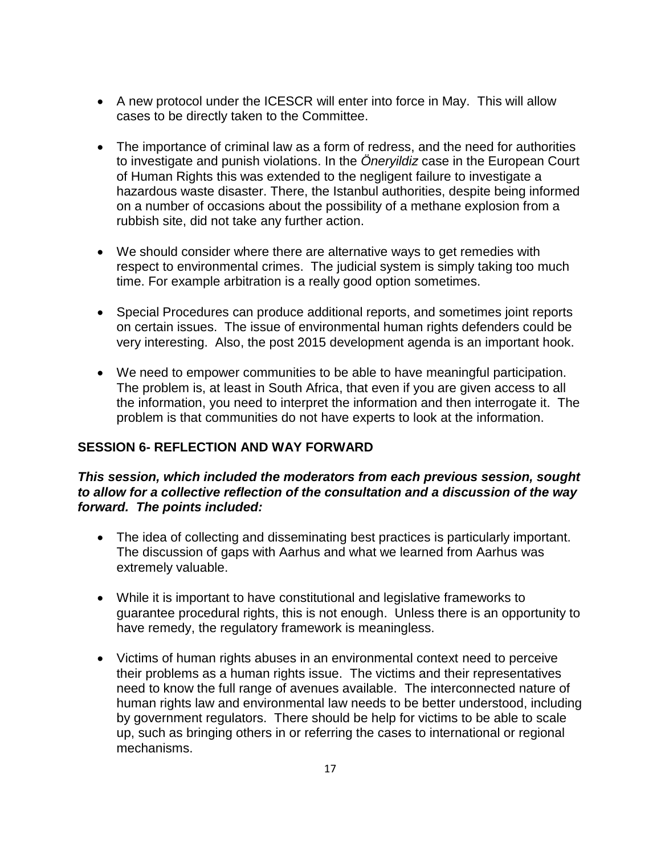- A new protocol under the ICESCR will enter into force in May. This will allow cases to be directly taken to the Committee.
- The importance of criminal law as a form of redress, and the need for authorities to investigate and punish violations. In the *Öneryildiz* case in the European Court of Human Rights this was extended to the negligent failure to investigate a hazardous waste disaster. There, the Istanbul authorities, despite being informed on a number of occasions about the possibility of a methane explosion from a rubbish site, did not take any further action.
- We should consider where there are alternative ways to get remedies with respect to environmental crimes. The judicial system is simply taking too much time. For example arbitration is a really good option sometimes.
- Special Procedures can produce additional reports, and sometimes joint reports on certain issues. The issue of environmental human rights defenders could be very interesting. Also, the post 2015 development agenda is an important hook.
- We need to empower communities to be able to have meaningful participation. The problem is, at least in South Africa, that even if you are given access to all the information, you need to interpret the information and then interrogate it. The problem is that communities do not have experts to look at the information.

## **SESSION 6- REFLECTION AND WAY FORWARD**

### *This session, which included the moderators from each previous session, sought to allow for a collective reflection of the consultation and a discussion of the way forward. The points included:*

- The idea of collecting and disseminating best practices is particularly important. The discussion of gaps with Aarhus and what we learned from Aarhus was extremely valuable.
- While it is important to have constitutional and legislative frameworks to guarantee procedural rights, this is not enough. Unless there is an opportunity to have remedy, the regulatory framework is meaningless.
- Victims of human rights abuses in an environmental context need to perceive their problems as a human rights issue. The victims and their representatives need to know the full range of avenues available. The interconnected nature of human rights law and environmental law needs to be better understood, including by government regulators. There should be help for victims to be able to scale up, such as bringing others in or referring the cases to international or regional mechanisms.